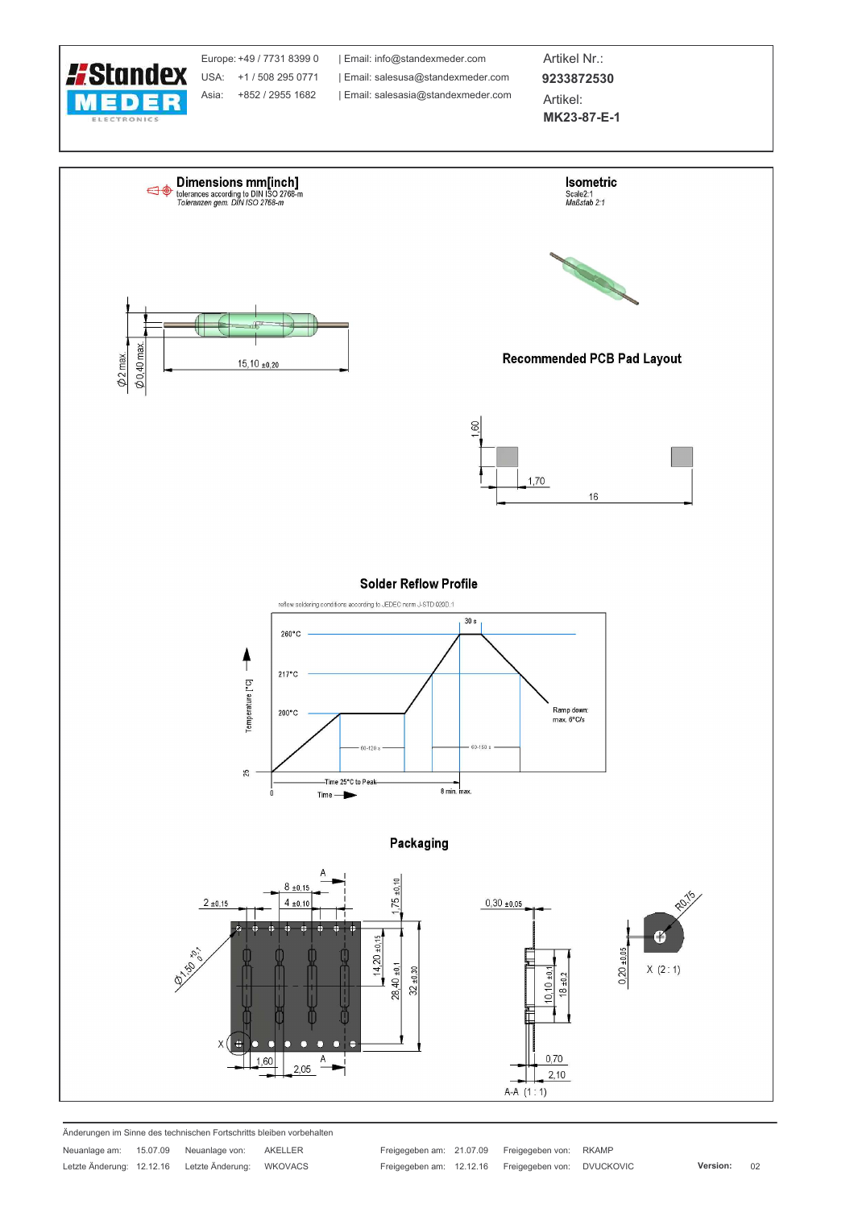

Änderungen im Sinne des technischen Fortschritts bleiben vorbehalten

Neuanlage am: 15.07.09 Neuanlage von: AKELLER Letzte Änderung: 12.12.16 Letzte Änderung: WKOVACS